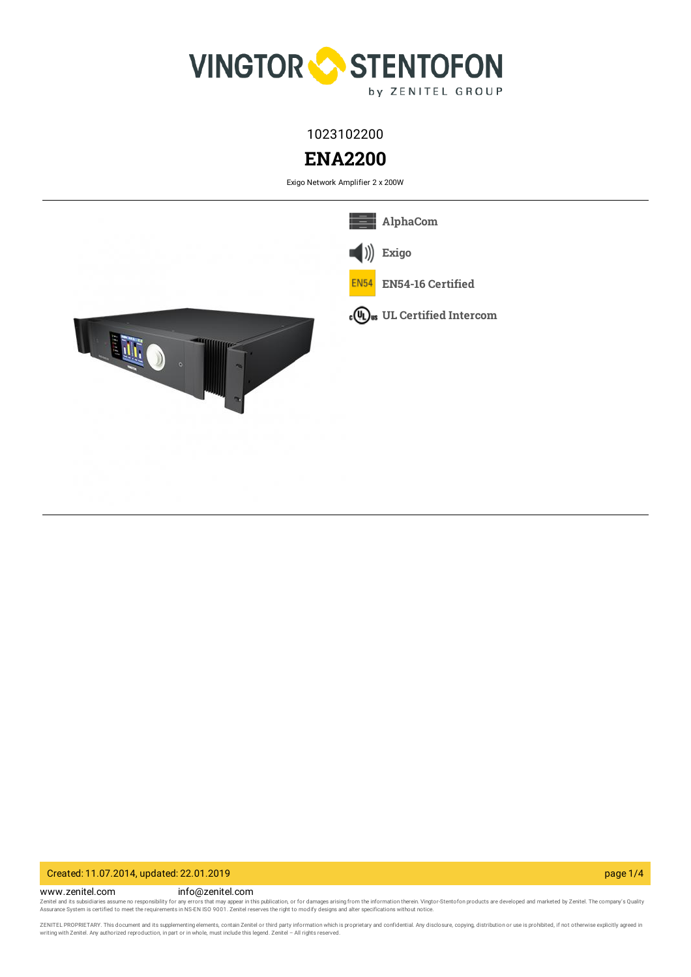

1023102200

# **ENA2200**

Exigo Network Amplifier 2 x 200W



## Created: 11.07.2014, updated: 22.01.2019 page 1/4

www.zenitel.com info@zenitel.com Zenitel and its subsidiaries assume no responsibility for any errors that may appear in this publication, or for damages arising from the information therein. Vingtor-Stentofon products are developed and marketed by Zenite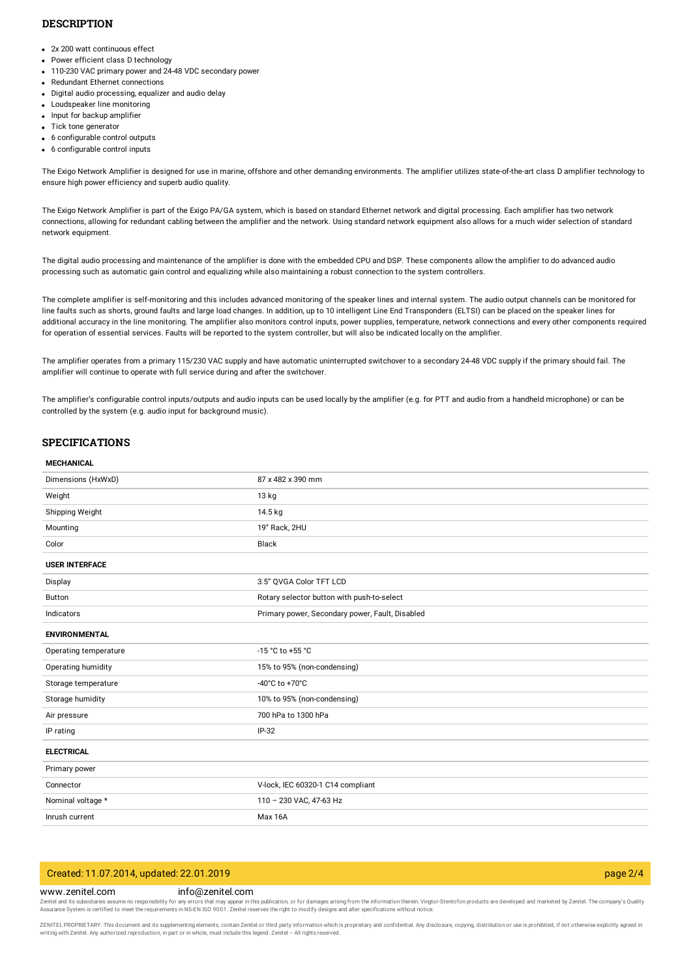## **DESCRIPTION**

- 2x 200 watt continuous effect
- Power efficient class D technology
- 110-230 VAC primary power and 24-48 VDC secondary power
- Redundant Ethernet connections
- Digital audio processing, equalizer and audio delay
- Loudspeaker line monitoring
- Input for backup amplifier
- Tick tone generator
- 6 configurable control outputs
- 6 configurable control inputs

The Exigo Network Amplifier is designed for use in marine, offshore and other demanding environments. The amplifier utilizes state-of-the-art class D amplifier technology to ensure high power efficiency and superb audio quality.

The Exigo Network Amplifier is part of the Exigo PA/GA system, which is based on standard Ethernet network and digital processing. Each amplifier has two network connections, allowing for redundant cabling between the amplifier and the network. Using standard network equipment also allows for a much wider selection of standard network equipment.

The digital audio processing and maintenance of the amplifier is done with the embedded CPU and DSP. These components allow the amplifier to do advanced audio processing such as automatic gain control and equalizing while also maintaining a robust connection to the system controllers.

The complete amplifier is self-monitoring and this includes advanced monitoring of the speaker lines and internal system. The audio output channels can be monitored for line faults such as shorts, ground faults and large load changes. In addition, up to 10 intelligent Line End Transponders (ELTSI) can be placed on the speaker lines for additional accuracy in the line monitoring. The amplifier also monitors control inputs, power supplies, temperature, network connections and every other components required for operation of essential services. Faults will be reported to the system controller, but will also be indicated locally on the amplifier.

The amplifier operates from a primary 115/230 VAC supply and have automatic uninterrupted switchover to a secondary 24-48 VDC supply if the primary should fail. The amplifier will continue to operate with full service during and after the switchover.

The amplifier's configurable control inputs/outputs and audio inputs can be used locally by the amplifier (e.g. for PTT and audio from a handheld microphone) or can be controlled by the system (e.g. audio input for background music).

## **SPECIFICATIONS**

#### **MECHANICAL**

| Dimensions (HxWxD)    | 87 x 482 x 390 mm                               |
|-----------------------|-------------------------------------------------|
| Weight                | 13 kg                                           |
| Shipping Weight       | 14.5 kg                                         |
| Mounting              | 19" Rack, 2HU                                   |
| Color                 | <b>Black</b>                                    |
| <b>USER INTERFACE</b> |                                                 |
| Display               | 3.5" QVGA Color TFT LCD                         |
| <b>Button</b>         | Rotary selector button with push-to-select      |
| Indicators            | Primary power, Secondary power, Fault, Disabled |
| <b>ENVIRONMENTAL</b>  |                                                 |
| Operating temperature | -15 °C to +55 °C                                |
| Operating humidity    | 15% to 95% (non-condensing)                     |
| Storage temperature   | -40°C to +70°C                                  |
| Storage humidity      | 10% to 95% (non-condensing)                     |
| Air pressure          | 700 hPa to 1300 hPa                             |
| IP rating             | $IP-32$                                         |
| <b>ELECTRICAL</b>     |                                                 |
| Primary power         |                                                 |
| Connector             | V-lock, IEC 60320-1 C14 compliant               |
| Nominal voltage *     | 110 - 230 VAC, 47-63 Hz                         |
| Inrush current        | Max 16A                                         |

## Created: 11.07.2014, updated: 22.01.2019 page 2/4

## www.zenitel.com info@zenitel.com

Zenitel and its subsidiaries assume no responsibility for any errors that may appear in this publication, or for damages arising from the information therein. Vingtor-Stentofon products are developed and marketed by Zenite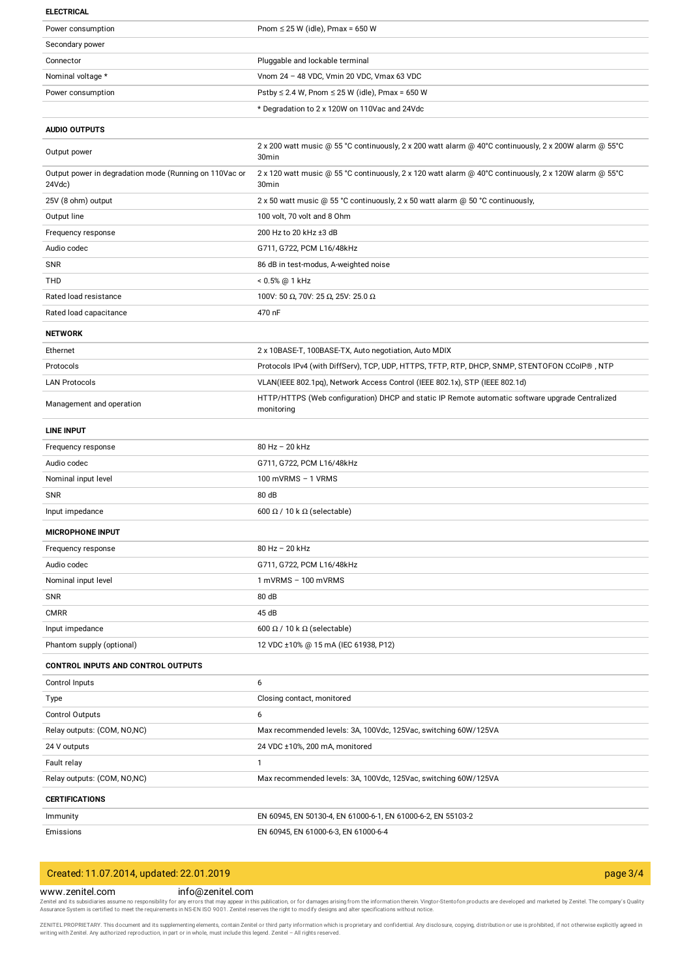#### **ELECTRICAL**

| Power consumption                                                | Pnom $\leq$ 25 W (idle), Pmax = 650 W                                                                                       |
|------------------------------------------------------------------|-----------------------------------------------------------------------------------------------------------------------------|
| Secondary power                                                  |                                                                                                                             |
| Connector                                                        | Pluggable and lockable terminal                                                                                             |
| Nominal voltage *                                                | Vnom 24 - 48 VDC, Vmin 20 VDC, Vmax 63 VDC                                                                                  |
| Power consumption                                                | Pstby $\leq$ 2.4 W, Pnom $\leq$ 25 W (idle), Pmax = 650 W                                                                   |
|                                                                  | * Degradation to 2 x 120W on 110Vac and 24Vdc                                                                               |
| <b>AUDIO OUTPUTS</b>                                             |                                                                                                                             |
|                                                                  | 2 x 200 watt music @ 55 °C continuously, 2 x 200 watt alarm @ 40°C continuously, 2 x 200W alarm @ 55°C                      |
| Output power                                                     | 30 <sub>min</sub>                                                                                                           |
| Output power in degradation mode (Running on 110Vac or<br>24Vdc) | 2 x 120 watt music @ 55 °C continuously, 2 x 120 watt alarm @ 40°C continuously, 2 x 120W alarm @ 55°C<br>30 <sub>min</sub> |
| 25V (8 ohm) output                                               | 2 x 50 watt music @ 55 °C continuously, 2 x 50 watt alarm @ 50 °C continuously,                                             |
| Output line                                                      | 100 volt, 70 volt and 8 Ohm                                                                                                 |
| Frequency response                                               | 200 Hz to 20 kHz ±3 dB                                                                                                      |
| Audio codec                                                      | G711, G722, PCM L16/48kHz                                                                                                   |
| <b>SNR</b>                                                       | 86 dB in test-modus, A-weighted noise                                                                                       |
| THD                                                              | < 0.5% @ 1 kHz                                                                                                              |
| Rated load resistance                                            | 100V: 50 Ω, 70V: 25 Ω, 25V: 25.0 Ω                                                                                          |
| Rated load capacitance                                           | 470 nF                                                                                                                      |
| <b>NETWORK</b>                                                   |                                                                                                                             |
| Ethernet                                                         | 2 x 10BASE-T, 100BASE-TX, Auto negotiation, Auto MDIX                                                                       |
| Protocols                                                        | Protocols IPv4 (with DiffServ), TCP, UDP, HTTPS, TFTP, RTP, DHCP, SNMP, STENTOFON CCoIP®, NTP                               |
| <b>LAN Protocols</b>                                             | VLAN(IEEE 802.1pq), Network Access Control (IEEE 802.1x), STP (IEEE 802.1d)                                                 |
| Management and operation                                         | HTTP/HTTPS (Web configuration) DHCP and static IP Remote automatic software upgrade Centralized<br>monitoring               |
| <b>LINE INPUT</b>                                                |                                                                                                                             |
| Frequency response                                               | 80 Hz - 20 kHz                                                                                                              |
| Audio codec                                                      | G711, G722, PCM L16/48kHz                                                                                                   |
| Nominal input level                                              | 100 mVRMS $-$ 1 VRMS                                                                                                        |
| SNR                                                              | 80 dB                                                                                                                       |
| Input impedance                                                  | 600 $\Omega$ / 10 k $\Omega$ (selectable)                                                                                   |
| <b>MICROPHONE INPUT</b>                                          |                                                                                                                             |
| Frequency response                                               | 80 Hz - 20 kHz                                                                                                              |
| Audio codec                                                      | G711, G722, PCM L16/48kHz                                                                                                   |
| Nominal input level                                              | 1 mVRMS - 100 mVRMS                                                                                                         |
| <b>SNR</b>                                                       | 80 dB                                                                                                                       |
| <b>CMRR</b>                                                      | 45 dB                                                                                                                       |
| Input impedance                                                  | 600 $\Omega$ / 10 k $\Omega$ (selectable)                                                                                   |
| Phantom supply (optional)                                        | 12 VDC ±10% @ 15 mA (IEC 61938, P12)                                                                                        |
| <b>CONTROL INPUTS AND CONTROL OUTPUTS</b>                        |                                                                                                                             |
| Control Inputs                                                   | 6                                                                                                                           |
| Type                                                             | Closing contact, monitored                                                                                                  |
| Control Outputs                                                  | 6                                                                                                                           |
| Relay outputs: (COM, NO,NC)                                      | Max recommended levels: 3A, 100Vdc, 125Vac, switching 60W/125VA                                                             |
| 24 V outputs                                                     | 24 VDC ±10%, 200 mA, monitored                                                                                              |
| Fault relay                                                      | $\mathbf{1}$                                                                                                                |
| Relay outputs: (COM, NO, NC)                                     | Max recommended levels: 3A, 100Vdc, 125Vac, switching 60W/125VA                                                             |
| <b>CERTIFICATIONS</b>                                            |                                                                                                                             |
| Immunity                                                         | EN 60945, EN 50130-4, EN 61000-6-1, EN 61000-6-2, EN 55103-2                                                                |
| Emissions                                                        | EN 60945, EN 61000-6-3, EN 61000-6-4                                                                                        |
|                                                                  |                                                                                                                             |

## Created: 11.07.2014, updated: 22.01.2019 page 3/4

## www.zenitel.com info@zenitel.com

Zenitel and its subsidiaries assume no responsibility for any errors that may appear in this publication, or for damages arising from the information therein. Vingtor-Stentofon products are developed and marketed by Zenite